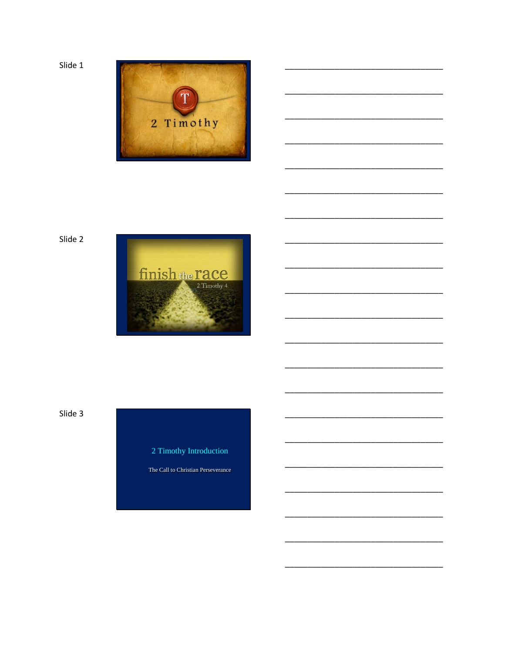Slide 1





Slide 3

2 Timothy Introduction

The Call to Christian Perseverance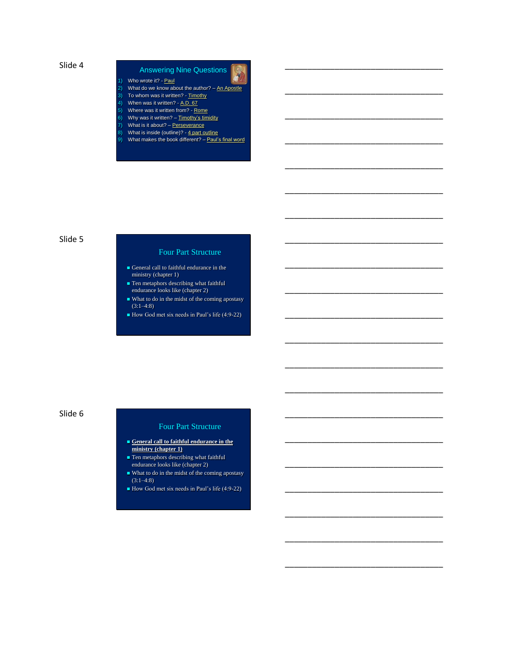## Answering Nine Questions

\_\_\_\_\_\_\_\_\_\_\_\_\_\_\_\_\_\_\_\_\_\_\_\_\_\_\_\_\_\_\_\_\_\_\_

\_\_\_\_\_\_\_\_\_\_\_\_\_\_\_\_\_\_\_\_\_\_\_\_\_\_\_\_\_\_\_\_\_\_\_

\_\_\_\_\_\_\_\_\_\_\_\_\_\_\_\_\_\_\_\_\_\_\_\_\_\_\_\_\_\_\_\_\_\_\_

\_\_\_\_\_\_\_\_\_\_\_\_\_\_\_\_\_\_\_\_\_\_\_\_\_\_\_\_\_\_\_\_\_\_\_

\_\_\_\_\_\_\_\_\_\_\_\_\_\_\_\_\_\_\_\_\_\_\_\_\_\_\_\_\_\_\_\_\_\_\_

\_\_\_\_\_\_\_\_\_\_\_\_\_\_\_\_\_\_\_\_\_\_\_\_\_\_\_\_\_\_\_\_\_\_\_

\_\_\_\_\_\_\_\_\_\_\_\_\_\_\_\_\_\_\_\_\_\_\_\_\_\_\_\_\_\_\_\_\_\_\_

\_\_\_\_\_\_\_\_\_\_\_\_\_\_\_\_\_\_\_\_\_\_\_\_\_\_\_\_\_\_\_\_\_\_\_

\_\_\_\_\_\_\_\_\_\_\_\_\_\_\_\_\_\_\_\_\_\_\_\_\_\_\_\_\_\_\_\_\_\_\_

\_\_\_\_\_\_\_\_\_\_\_\_\_\_\_\_\_\_\_\_\_\_\_\_\_\_\_\_\_\_\_\_\_\_\_

\_\_\_\_\_\_\_\_\_\_\_\_\_\_\_\_\_\_\_\_\_\_\_\_\_\_\_\_\_\_\_\_\_\_\_

\_\_\_\_\_\_\_\_\_\_\_\_\_\_\_\_\_\_\_\_\_\_\_\_\_\_\_\_\_\_\_\_\_\_\_

\_\_\_\_\_\_\_\_\_\_\_\_\_\_\_\_\_\_\_\_\_\_\_\_\_\_\_\_\_\_\_\_\_\_\_

\_\_\_\_\_\_\_\_\_\_\_\_\_\_\_\_\_\_\_\_\_\_\_\_\_\_\_\_\_\_\_\_\_\_\_

\_\_\_\_\_\_\_\_\_\_\_\_\_\_\_\_\_\_\_\_\_\_\_\_\_\_\_\_\_\_\_\_\_\_\_

\_\_\_\_\_\_\_\_\_\_\_\_\_\_\_\_\_\_\_\_\_\_\_\_\_\_\_\_\_\_\_\_\_\_\_

\_\_\_\_\_\_\_\_\_\_\_\_\_\_\_\_\_\_\_\_\_\_\_\_\_\_\_\_\_\_\_\_\_\_\_

\_\_\_\_\_\_\_\_\_\_\_\_\_\_\_\_\_\_\_\_\_\_\_\_\_\_\_\_\_\_\_\_\_\_\_

\_\_\_\_\_\_\_\_\_\_\_\_\_\_\_\_\_\_\_\_\_\_\_\_\_\_\_\_\_\_\_\_\_\_\_

\_\_\_\_\_\_\_\_\_\_\_\_\_\_\_\_\_\_\_\_\_\_\_\_\_\_\_\_\_\_\_\_\_\_\_

\_\_\_\_\_\_\_\_\_\_\_\_\_\_\_\_\_\_\_\_\_\_\_\_\_\_\_\_\_\_\_\_\_\_\_

- 1) Who wrote it? **Paul**
- 2) What do we know about the author?  $-$  An Apostle 3) To whom was it written? - Timothy
- 4) When was it written? A.D. 67
- 5) Where was it written from? Rome
- 6) Why was it written?  $-$  Timothy's timidity
- 7) What is it about? Perseverance
- 8) What is inside (outline)? 4 part outline
- 9) What makes the book different? Paul's final word

#### Slide 5

#### Four Part Structure

- General call to faithful endurance in the ministry (chapter 1)
- **Ten metaphors describing what faithful** endurance looks like (chapter 2)
- What to do in the midst of the coming apostasy  $(3:1-4:8)$
- How God met six needs in Paul's life (4:9-22)

#### Slide 6

#### Four Part Structure

- **General call to faithful endurance in the ministry (chapter 1)**
- **Ten metaphors describing what faithful** endurance looks like (chapter 2)
- What to do in the midst of the coming apostasy  $(3:1-4:8)$
- How God met six needs in Paul's life (4:9-22)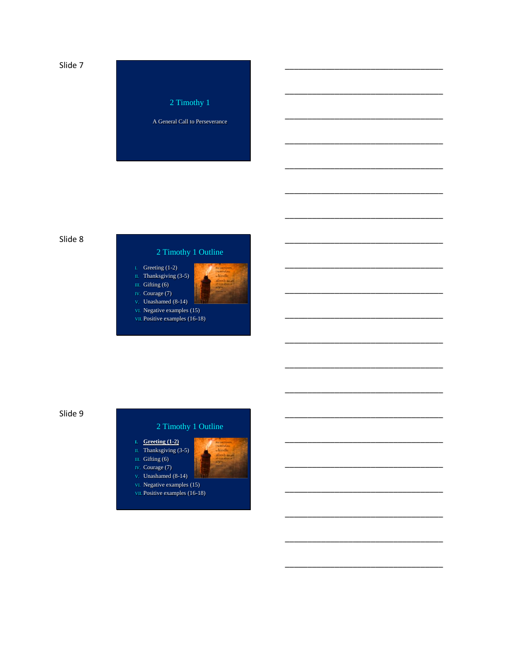

#### Slide 8

## 2 Timothy 1 Outline



#### Slide 9

- I. Greeting  $(1-2)$
- II. Thanksgiving  $(3-5)$ III. Gifting (6)
- IV. Courage (7)
- v. Unashamed  $(8-14)$
- vi. Negative examples (15) VII. Positive examples (16-18)
- -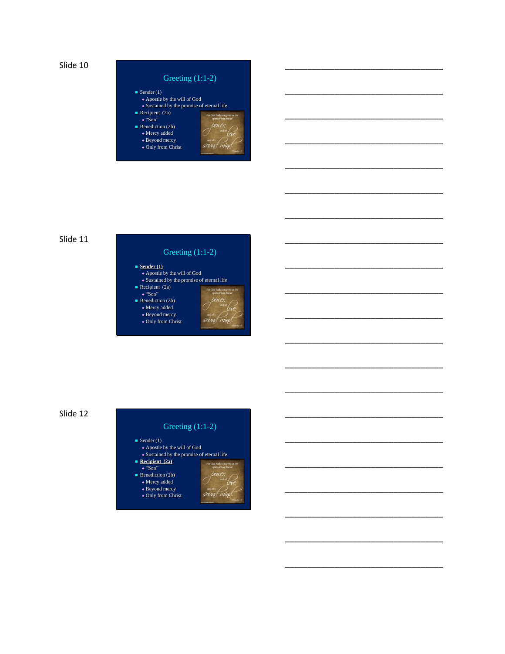

#### Greeting (1:1-2) Sender  $(1)$  Apostle by the will of God Sustained by the promise of eternal life Recipient (2a) od hath "Son" **Benediction (2b)**  Mercy added ◆ Beyond mercy savy Only from Christ

\_\_\_\_\_\_\_\_\_\_\_\_\_\_\_\_\_\_\_\_\_\_\_\_\_\_\_\_\_\_\_\_\_\_\_

\_\_\_\_\_\_\_\_\_\_\_\_\_\_\_\_\_\_\_\_\_\_\_\_\_\_\_\_\_\_\_\_\_\_\_

\_\_\_\_\_\_\_\_\_\_\_\_\_\_\_\_\_\_\_\_\_\_\_\_\_\_\_\_\_\_\_\_\_\_\_

\_\_\_\_\_\_\_\_\_\_\_\_\_\_\_\_\_\_\_\_\_\_\_\_\_\_\_\_\_\_\_\_\_\_\_

\_\_\_\_\_\_\_\_\_\_\_\_\_\_\_\_\_\_\_\_\_\_\_\_\_\_\_\_\_\_\_\_\_\_\_

\_\_\_\_\_\_\_\_\_\_\_\_\_\_\_\_\_\_\_\_\_\_\_\_\_\_\_\_\_\_\_\_\_\_\_

\_\_\_\_\_\_\_\_\_\_\_\_\_\_\_\_\_\_\_\_\_\_\_\_\_\_\_\_\_\_\_\_\_\_\_

\_\_\_\_\_\_\_\_\_\_\_\_\_\_\_\_\_\_\_\_\_\_\_\_\_\_\_\_\_\_\_\_\_\_\_

\_\_\_\_\_\_\_\_\_\_\_\_\_\_\_\_\_\_\_\_\_\_\_\_\_\_\_\_\_\_\_\_\_\_\_

\_\_\_\_\_\_\_\_\_\_\_\_\_\_\_\_\_\_\_\_\_\_\_\_\_\_\_\_\_\_\_\_\_\_\_

\_\_\_\_\_\_\_\_\_\_\_\_\_\_\_\_\_\_\_\_\_\_\_\_\_\_\_\_\_\_\_\_\_\_\_

\_\_\_\_\_\_\_\_\_\_\_\_\_\_\_\_\_\_\_\_\_\_\_\_\_\_\_\_\_\_\_\_\_\_\_

\_\_\_\_\_\_\_\_\_\_\_\_\_\_\_\_\_\_\_\_\_\_\_\_\_\_\_\_\_\_\_\_\_\_\_

\_\_\_\_\_\_\_\_\_\_\_\_\_\_\_\_\_\_\_\_\_\_\_\_\_\_\_\_\_\_\_\_\_\_\_

\_\_\_\_\_\_\_\_\_\_\_\_\_\_\_\_\_\_\_\_\_\_\_\_\_\_\_\_\_\_\_\_\_\_\_

\_\_\_\_\_\_\_\_\_\_\_\_\_\_\_\_\_\_\_\_\_\_\_\_\_\_\_\_\_\_\_\_\_\_\_

\_\_\_\_\_\_\_\_\_\_\_\_\_\_\_\_\_\_\_\_\_\_\_\_\_\_\_\_\_\_\_\_\_\_\_

\_\_\_\_\_\_\_\_\_\_\_\_\_\_\_\_\_\_\_\_\_\_\_\_\_\_\_\_\_\_\_\_\_\_\_

\_\_\_\_\_\_\_\_\_\_\_\_\_\_\_\_\_\_\_\_\_\_\_\_\_\_\_\_\_\_\_\_\_\_\_

\_\_\_\_\_\_\_\_\_\_\_\_\_\_\_\_\_\_\_\_\_\_\_\_\_\_\_\_\_\_\_\_\_\_\_

\_\_\_\_\_\_\_\_\_\_\_\_\_\_\_\_\_\_\_\_\_\_\_\_\_\_\_\_\_\_\_\_\_\_\_

#### Slide 11

### Greeting (1:1-2)

- **Sender (1)** Apostle by the will of God Sustained by the promise of eternal life Recipient (2a)  $\bullet$  "Son" **Benediction (2b)** 
	- $\bullet$  Mercy added Beyond mercy sayt m Only from Christ

Slide 12

# Greeting (1:1-2)

- Sender  $(1)$  Apostle by the will of God  $\bullet$  Sustained by the promise of eternal life **Recipient (2a)**
- "Son" **Benediction (2b)**  $\bullet$  Mercy added

sawd m

◆ Beyond mercy Only from Christ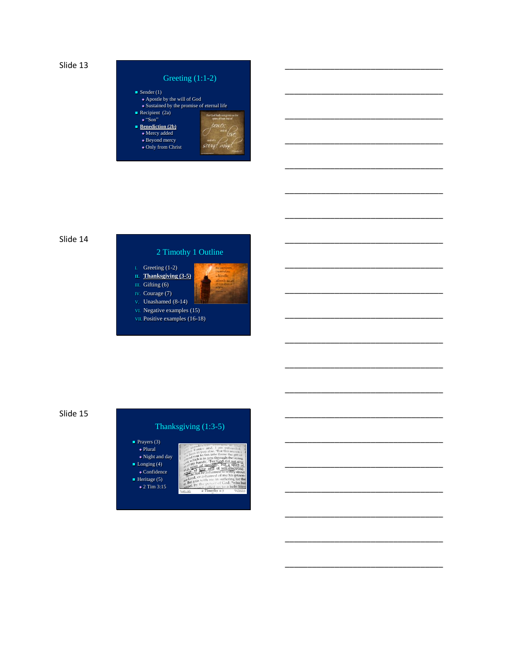

#### Greeting (1:1-2)  $\blacksquare$  Sender (1) Apostle by the will of God Sustained by the promise of eternal life Recipient (2a)  $\bullet$  "Son" ■ <u>Benediction (2b)</u> Mercy added ◆ Beyond mercy save Only from Christ

\_\_\_\_\_\_\_\_\_\_\_\_\_\_\_\_\_\_\_\_\_\_\_\_\_\_\_\_\_\_\_\_\_\_\_

\_\_\_\_\_\_\_\_\_\_\_\_\_\_\_\_\_\_\_\_\_\_\_\_\_\_\_\_\_\_\_\_\_\_\_

\_\_\_\_\_\_\_\_\_\_\_\_\_\_\_\_\_\_\_\_\_\_\_\_\_\_\_\_\_\_\_\_\_\_\_

\_\_\_\_\_\_\_\_\_\_\_\_\_\_\_\_\_\_\_\_\_\_\_\_\_\_\_\_\_\_\_\_\_\_\_

\_\_\_\_\_\_\_\_\_\_\_\_\_\_\_\_\_\_\_\_\_\_\_\_\_\_\_\_\_\_\_\_\_\_\_

\_\_\_\_\_\_\_\_\_\_\_\_\_\_\_\_\_\_\_\_\_\_\_\_\_\_\_\_\_\_\_\_\_\_\_

\_\_\_\_\_\_\_\_\_\_\_\_\_\_\_\_\_\_\_\_\_\_\_\_\_\_\_\_\_\_\_\_\_\_\_

\_\_\_\_\_\_\_\_\_\_\_\_\_\_\_\_\_\_\_\_\_\_\_\_\_\_\_\_\_\_\_\_\_\_\_

\_\_\_\_\_\_\_\_\_\_\_\_\_\_\_\_\_\_\_\_\_\_\_\_\_\_\_\_\_\_\_\_\_\_\_

\_\_\_\_\_\_\_\_\_\_\_\_\_\_\_\_\_\_\_\_\_\_\_\_\_\_\_\_\_\_\_\_\_\_\_

\_\_\_\_\_\_\_\_\_\_\_\_\_\_\_\_\_\_\_\_\_\_\_\_\_\_\_\_\_\_\_\_\_\_\_

\_\_\_\_\_\_\_\_\_\_\_\_\_\_\_\_\_\_\_\_\_\_\_\_\_\_\_\_\_\_\_\_\_\_\_

\_\_\_\_\_\_\_\_\_\_\_\_\_\_\_\_\_\_\_\_\_\_\_\_\_\_\_\_\_\_\_\_\_\_\_

\_\_\_\_\_\_\_\_\_\_\_\_\_\_\_\_\_\_\_\_\_\_\_\_\_\_\_\_\_\_\_\_\_\_\_

\_\_\_\_\_\_\_\_\_\_\_\_\_\_\_\_\_\_\_\_\_\_\_\_\_\_\_\_\_\_\_\_\_\_\_

\_\_\_\_\_\_\_\_\_\_\_\_\_\_\_\_\_\_\_\_\_\_\_\_\_\_\_\_\_\_\_\_\_\_\_

\_\_\_\_\_\_\_\_\_\_\_\_\_\_\_\_\_\_\_\_\_\_\_\_\_\_\_\_\_\_\_\_\_\_\_

\_\_\_\_\_\_\_\_\_\_\_\_\_\_\_\_\_\_\_\_\_\_\_\_\_\_\_\_\_\_\_\_\_\_\_

\_\_\_\_\_\_\_\_\_\_\_\_\_\_\_\_\_\_\_\_\_\_\_\_\_\_\_\_\_\_\_\_\_\_\_

\_\_\_\_\_\_\_\_\_\_\_\_\_\_\_\_\_\_\_\_\_\_\_\_\_\_\_\_\_\_\_\_\_\_\_

\_\_\_\_\_\_\_\_\_\_\_\_\_\_\_\_\_\_\_\_\_\_\_\_\_\_\_\_\_\_\_\_\_\_\_

#### Slide 14



Slide 15

#### Thanksgiving (1:3-5)

 $\blacksquare$  P

 $\blacksquare$  L

| Prayers (3)                     |                                                                                                                        |
|---------------------------------|------------------------------------------------------------------------------------------------------------------------|
| $\bullet$ Plural                | ther Eurice and, I am persuaded<br>ally in you also. Hor this reason I                                                 |
| $\bullet$ Night and day         | and you to fan into flame the gift of<br>which is in you through the laying<br>and, which is in you through the laying |
| $\text{conging} (4)$            | of my hands. Tor God did not give<br>of spirit of timidity, but a spirit of                                            |
| $\bullet$ Confidence            | ower, of love and of self-discipline.<br>spoke not be ashamed to testify about                                         |
| $\text{Ieritage}(\overline{5})$ | our Lord, or ashamed of me his prison-<br>$\sigma$ . But join with me in suffering for the                             |
| $\sqrt{2}$ Tim 3:15             | espel, by the power of God, "who has<br>2 Timothy 1:7<br><b>Boy Vigal Real</b><br>Versify: Life                        |
|                                 |                                                                                                                        |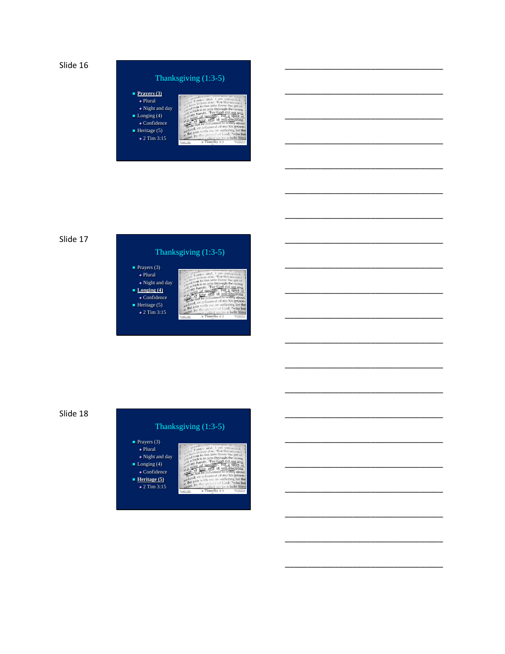

#### Thanksgiving (1:3-5)  $\blacksquare$  Prayers (3)  $\bullet$  Plural  $\bullet$  Night and day  $\blacksquare$  Longing (4)  $\bullet$  Confidence

Heritage (5)<br> $\div 2$  Tim 3:15

Slide 17

# Thanksgiving (1:3-5)

| Prayers (3)<br>$\triangle$ Plural | and.<br>lives in you also, "For this reason                                     |
|-----------------------------------|---------------------------------------------------------------------------------|
| $\bullet$ Night and day           | as the you to fan into flame the gift of<br>which is in you through the laying  |
| Longing $(4)$                     | of my hands. Tor God did not give<br>of spirit of timidity, but a spirit        |
| $\overline{\bullet}$ Confidence   | wet, of love and of self-discipline<br>go do not be ashamed to testify about    |
| Heritage (5)                      | our Lord, or ashamed of me his prison-<br>But join with me in suffering for the |
| $\div$ 2 Tim 3:15                 | sospel, by the power of God, "who has<br>2 Timothy 1:7<br>Versity: Life         |



# Thanksgiving (1:3-5)

■ Prayers (3)<br>◆ Plural  $\bullet$  Night and day  $\blacksquare$  Longing (4)  $\bullet$  Confidence **Heritage** (5)  $\bullet$  2 Tim 3:15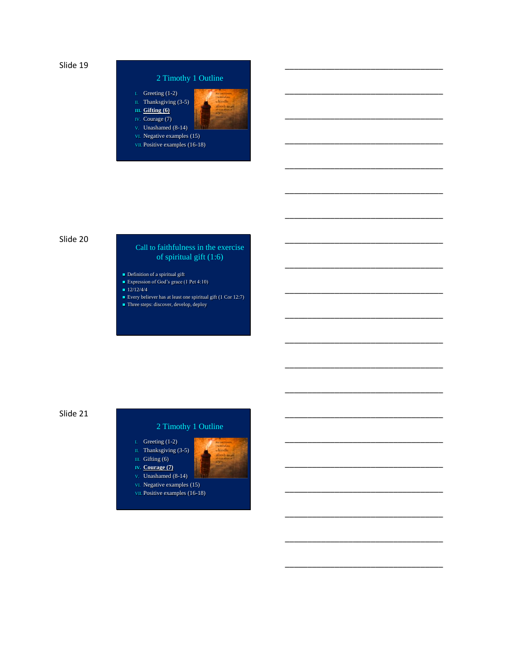



\_\_\_\_\_\_\_\_\_\_\_\_\_\_\_\_\_\_\_\_\_\_\_\_\_\_\_\_\_\_\_\_\_\_\_

\_\_\_\_\_\_\_\_\_\_\_\_\_\_\_\_\_\_\_\_\_\_\_\_\_\_\_\_\_\_\_\_\_\_\_

\_\_\_\_\_\_\_\_\_\_\_\_\_\_\_\_\_\_\_\_\_\_\_\_\_\_\_\_\_\_\_\_\_\_\_

\_\_\_\_\_\_\_\_\_\_\_\_\_\_\_\_\_\_\_\_\_\_\_\_\_\_\_\_\_\_\_\_\_\_\_

\_\_\_\_\_\_\_\_\_\_\_\_\_\_\_\_\_\_\_\_\_\_\_\_\_\_\_\_\_\_\_\_\_\_\_

\_\_\_\_\_\_\_\_\_\_\_\_\_\_\_\_\_\_\_\_\_\_\_\_\_\_\_\_\_\_\_\_\_\_\_

\_\_\_\_\_\_\_\_\_\_\_\_\_\_\_\_\_\_\_\_\_\_\_\_\_\_\_\_\_\_\_\_\_\_\_

\_\_\_\_\_\_\_\_\_\_\_\_\_\_\_\_\_\_\_\_\_\_\_\_\_\_\_\_\_\_\_\_\_\_\_

\_\_\_\_\_\_\_\_\_\_\_\_\_\_\_\_\_\_\_\_\_\_\_\_\_\_\_\_\_\_\_\_\_\_\_

\_\_\_\_\_\_\_\_\_\_\_\_\_\_\_\_\_\_\_\_\_\_\_\_\_\_\_\_\_\_\_\_\_\_\_

\_\_\_\_\_\_\_\_\_\_\_\_\_\_\_\_\_\_\_\_\_\_\_\_\_\_\_\_\_\_\_\_\_\_\_

\_\_\_\_\_\_\_\_\_\_\_\_\_\_\_\_\_\_\_\_\_\_\_\_\_\_\_\_\_\_\_\_\_\_\_

\_\_\_\_\_\_\_\_\_\_\_\_\_\_\_\_\_\_\_\_\_\_\_\_\_\_\_\_\_\_\_\_\_\_\_

\_\_\_\_\_\_\_\_\_\_\_\_\_\_\_\_\_\_\_\_\_\_\_\_\_\_\_\_\_\_\_\_\_\_\_

\_\_\_\_\_\_\_\_\_\_\_\_\_\_\_\_\_\_\_\_\_\_\_\_\_\_\_\_\_\_\_\_\_\_\_

\_\_\_\_\_\_\_\_\_\_\_\_\_\_\_\_\_\_\_\_\_\_\_\_\_\_\_\_\_\_\_\_\_\_\_

\_\_\_\_\_\_\_\_\_\_\_\_\_\_\_\_\_\_\_\_\_\_\_\_\_\_\_\_\_\_\_\_\_\_\_

\_\_\_\_\_\_\_\_\_\_\_\_\_\_\_\_\_\_\_\_\_\_\_\_\_\_\_\_\_\_\_\_\_\_\_

\_\_\_\_\_\_\_\_\_\_\_\_\_\_\_\_\_\_\_\_\_\_\_\_\_\_\_\_\_\_\_\_\_\_\_

\_\_\_\_\_\_\_\_\_\_\_\_\_\_\_\_\_\_\_\_\_\_\_\_\_\_\_\_\_\_\_\_\_\_\_

\_\_\_\_\_\_\_\_\_\_\_\_\_\_\_\_\_\_\_\_\_\_\_\_\_\_\_\_\_\_\_\_\_\_\_

# Slide 20 Call to faithfulness in the exercise of spiritual gift (1:6)

- Definition of a spiritual gift
- Expression of God's grace (1 Pet 4:10)
- $12/12/4/4$
- Every believer has at least one spiritual gift (1 Cor 12:7)
- Three steps: discover, develop, deploy

#### Slide 21

- I. Greeting (1-2) II. Thanksgiving (3-5) III. Gifting (6) **IV. Courage (7)** V. Unashamed (8-14)
- VI. Negative examples (15)
- VII. Positive examples (16-18)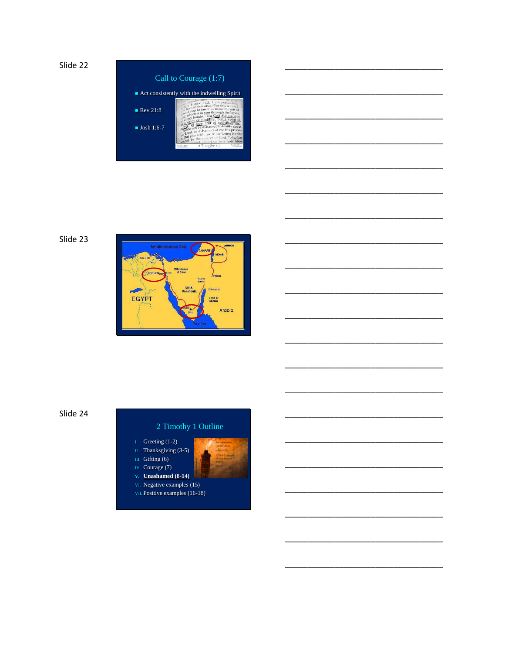| Act consistently with the indwelling Spirit |                                                                                                                                                                                                               |
|---------------------------------------------|---------------------------------------------------------------------------------------------------------------------------------------------------------------------------------------------------------------|
|                                             | Funice and, I am persuaded                                                                                                                                                                                    |
| $\blacksquare$ Rev 21:8                     | lives in you also. "For this reason<br>$\frac{1}{2}$ you to fan into flame the gift of<br>which is in you through the laying<br>ord, my hands. Tor God did not give                                           |
| $\blacksquare$ Josh 1:6-7                   | a spirit of timidity, but a spirit of<br>wet, of love and of self-discipline.<br>so do not be ashamed to testify about<br>our Lord, or ashamed of me his prison-<br>our But join with me in suffering for the |







- I. Greeting  $(1-2)$ <br>II. Thanksgiving  $(3-5)$
- III. Gifting  $(6)$ IV. Courage (7)
- v. Unashamed  $(8-14)$
- vi. Negative examples (15)
- VII. Positive examples (16-18)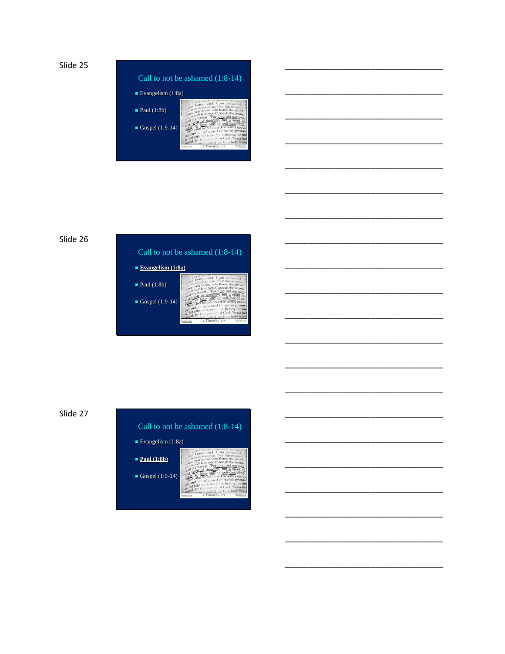







Call to not be ashamed (1:8-14)



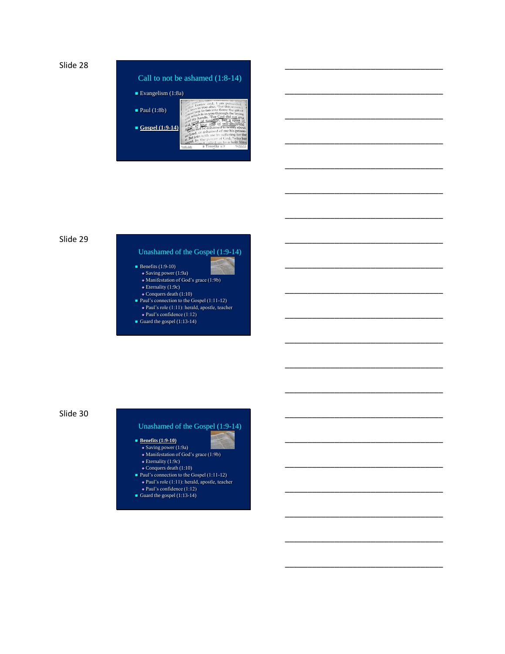



\_\_\_\_\_\_\_\_\_\_\_\_\_\_\_\_\_\_\_\_\_\_\_\_\_\_\_\_\_\_\_\_\_\_\_

\_\_\_\_\_\_\_\_\_\_\_\_\_\_\_\_\_\_\_\_\_\_\_\_\_\_\_\_\_\_\_\_\_\_\_

\_\_\_\_\_\_\_\_\_\_\_\_\_\_\_\_\_\_\_\_\_\_\_\_\_\_\_\_\_\_\_\_\_\_\_

\_\_\_\_\_\_\_\_\_\_\_\_\_\_\_\_\_\_\_\_\_\_\_\_\_\_\_\_\_\_\_\_\_\_\_

\_\_\_\_\_\_\_\_\_\_\_\_\_\_\_\_\_\_\_\_\_\_\_\_\_\_\_\_\_\_\_\_\_\_\_

\_\_\_\_\_\_\_\_\_\_\_\_\_\_\_\_\_\_\_\_\_\_\_\_\_\_\_\_\_\_\_\_\_\_\_

\_\_\_\_\_\_\_\_\_\_\_\_\_\_\_\_\_\_\_\_\_\_\_\_\_\_\_\_\_\_\_\_\_\_\_

\_\_\_\_\_\_\_\_\_\_\_\_\_\_\_\_\_\_\_\_\_\_\_\_\_\_\_\_\_\_\_\_\_\_\_

\_\_\_\_\_\_\_\_\_\_\_\_\_\_\_\_\_\_\_\_\_\_\_\_\_\_\_\_\_\_\_\_\_\_\_

\_\_\_\_\_\_\_\_\_\_\_\_\_\_\_\_\_\_\_\_\_\_\_\_\_\_\_\_\_\_\_\_\_\_\_

\_\_\_\_\_\_\_\_\_\_\_\_\_\_\_\_\_\_\_\_\_\_\_\_\_\_\_\_\_\_\_\_\_\_\_

\_\_\_\_\_\_\_\_\_\_\_\_\_\_\_\_\_\_\_\_\_\_\_\_\_\_\_\_\_\_\_\_\_\_\_

\_\_\_\_\_\_\_\_\_\_\_\_\_\_\_\_\_\_\_\_\_\_\_\_\_\_\_\_\_\_\_\_\_\_\_

\_\_\_\_\_\_\_\_\_\_\_\_\_\_\_\_\_\_\_\_\_\_\_\_\_\_\_\_\_\_\_\_\_\_\_

\_\_\_\_\_\_\_\_\_\_\_\_\_\_\_\_\_\_\_\_\_\_\_\_\_\_\_\_\_\_\_\_\_\_\_

\_\_\_\_\_\_\_\_\_\_\_\_\_\_\_\_\_\_\_\_\_\_\_\_\_\_\_\_\_\_\_\_\_\_\_

\_\_\_\_\_\_\_\_\_\_\_\_\_\_\_\_\_\_\_\_\_\_\_\_\_\_\_\_\_\_\_\_\_\_\_

\_\_\_\_\_\_\_\_\_\_\_\_\_\_\_\_\_\_\_\_\_\_\_\_\_\_\_\_\_\_\_\_\_\_\_

\_\_\_\_\_\_\_\_\_\_\_\_\_\_\_\_\_\_\_\_\_\_\_\_\_\_\_\_\_\_\_\_\_\_\_

\_\_\_\_\_\_\_\_\_\_\_\_\_\_\_\_\_\_\_\_\_\_\_\_\_\_\_\_\_\_\_\_\_\_\_

\_\_\_\_\_\_\_\_\_\_\_\_\_\_\_\_\_\_\_\_\_\_\_\_\_\_\_\_\_\_\_\_\_\_\_

#### Slide 29

#### Unashamed of the Gospel (1:9-14)

- Benefits  $(1:9-10)$
- $\bullet$  Saving power (1:9a)
- Manifestation of God's grace (1:9b) Eternality (1:9c)
- Conquers death (1:10)
- Paul's connection to the Gospel (1:11-12)
- Paul's role (1:11): herald, apostle, teacher Paul's confidence (1:12)
- Guard the gospel (1:13-14)

#### Slide 30

#### Unashamed of the Gospel (1:9-14)

- Benefits (1:9-10)
- $\triangleleft$  Saving power (1:9a) Manifestation of God's grace (1:9b)
- Eternality (1:9c)
- Conquers death (1:10)
- Paul's connection to the Gospel (1:11-12) Paul's role (1:11): herald, apostle, teacher
- Paul's confidence (1:12) Guard the gospel  $(1:13-14)$ 
	-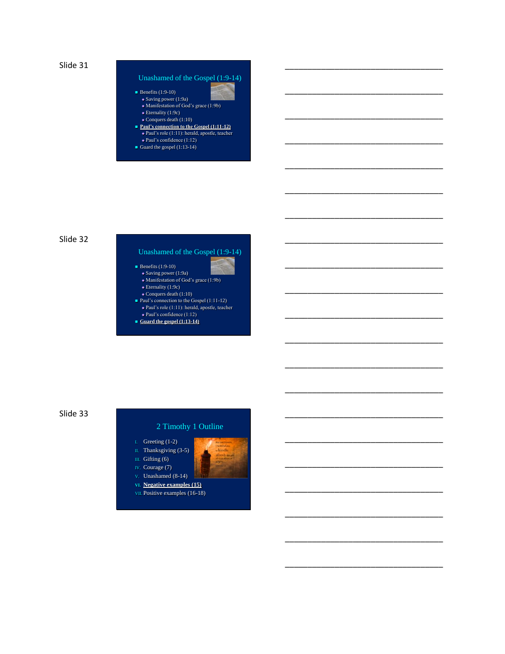

#### Unashamed of the Gospel (1:9-14)

\_\_\_\_\_\_\_\_\_\_\_\_\_\_\_\_\_\_\_\_\_\_\_\_\_\_\_\_\_\_\_\_\_\_\_

\_\_\_\_\_\_\_\_\_\_\_\_\_\_\_\_\_\_\_\_\_\_\_\_\_\_\_\_\_\_\_\_\_\_\_

\_\_\_\_\_\_\_\_\_\_\_\_\_\_\_\_\_\_\_\_\_\_\_\_\_\_\_\_\_\_\_\_\_\_\_

\_\_\_\_\_\_\_\_\_\_\_\_\_\_\_\_\_\_\_\_\_\_\_\_\_\_\_\_\_\_\_\_\_\_\_

\_\_\_\_\_\_\_\_\_\_\_\_\_\_\_\_\_\_\_\_\_\_\_\_\_\_\_\_\_\_\_\_\_\_\_

\_\_\_\_\_\_\_\_\_\_\_\_\_\_\_\_\_\_\_\_\_\_\_\_\_\_\_\_\_\_\_\_\_\_\_

\_\_\_\_\_\_\_\_\_\_\_\_\_\_\_\_\_\_\_\_\_\_\_\_\_\_\_\_\_\_\_\_\_\_\_

\_\_\_\_\_\_\_\_\_\_\_\_\_\_\_\_\_\_\_\_\_\_\_\_\_\_\_\_\_\_\_\_\_\_\_

\_\_\_\_\_\_\_\_\_\_\_\_\_\_\_\_\_\_\_\_\_\_\_\_\_\_\_\_\_\_\_\_\_\_\_

\_\_\_\_\_\_\_\_\_\_\_\_\_\_\_\_\_\_\_\_\_\_\_\_\_\_\_\_\_\_\_\_\_\_\_

\_\_\_\_\_\_\_\_\_\_\_\_\_\_\_\_\_\_\_\_\_\_\_\_\_\_\_\_\_\_\_\_\_\_\_

\_\_\_\_\_\_\_\_\_\_\_\_\_\_\_\_\_\_\_\_\_\_\_\_\_\_\_\_\_\_\_\_\_\_\_

\_\_\_\_\_\_\_\_\_\_\_\_\_\_\_\_\_\_\_\_\_\_\_\_\_\_\_\_\_\_\_\_\_\_\_

\_\_\_\_\_\_\_\_\_\_\_\_\_\_\_\_\_\_\_\_\_\_\_\_\_\_\_\_\_\_\_\_\_\_\_

\_\_\_\_\_\_\_\_\_\_\_\_\_\_\_\_\_\_\_\_\_\_\_\_\_\_\_\_\_\_\_\_\_\_\_

\_\_\_\_\_\_\_\_\_\_\_\_\_\_\_\_\_\_\_\_\_\_\_\_\_\_\_\_\_\_\_\_\_\_\_

\_\_\_\_\_\_\_\_\_\_\_\_\_\_\_\_\_\_\_\_\_\_\_\_\_\_\_\_\_\_\_\_\_\_\_

\_\_\_\_\_\_\_\_\_\_\_\_\_\_\_\_\_\_\_\_\_\_\_\_\_\_\_\_\_\_\_\_\_\_\_

\_\_\_\_\_\_\_\_\_\_\_\_\_\_\_\_\_\_\_\_\_\_\_\_\_\_\_\_\_\_\_\_\_\_\_

\_\_\_\_\_\_\_\_\_\_\_\_\_\_\_\_\_\_\_\_\_\_\_\_\_\_\_\_\_\_\_\_\_\_\_

\_\_\_\_\_\_\_\_\_\_\_\_\_\_\_\_\_\_\_\_\_\_\_\_\_\_\_\_\_\_\_\_\_\_\_

- $\blacksquare$  Benefits (1:9-10)
	- Saving power (1:9a) Manifestation of God's grace (1:9b)
- Eternality (1:9c)
- Conquers death (1:10)
- **Paul's connection to the Gospel (1:11-12)**  Paul's role (1:11): herald, apostle, teacher Paul's confidence (1:12)
- Guard the gospel (1:13-14)

#### Slide 32

# Unashamed of the Gospel (1:9-14)

- Benefits  $(1:9-10)$  Saving power (1:9a)
	- Manifestation of God's grace (1:9b)
- Eternality (1:9c)
- Conquers death (1:10)
- Paul's connection to the Gospel (1:11-12) Paul's role (1:11): herald, apostle, teacher
- Paul's confidence (1:12)
- **Guard the gospel (1:13-14)**

#### Slide 33

- I. Greeting (1-2)
- II. Thanksgiving (3-5) III. Gifting (6)
- IV. Courage (7)
- V. Unashamed (8-14)
- **VI. Negative examples (15)**
- VII. Positive examples (16-18)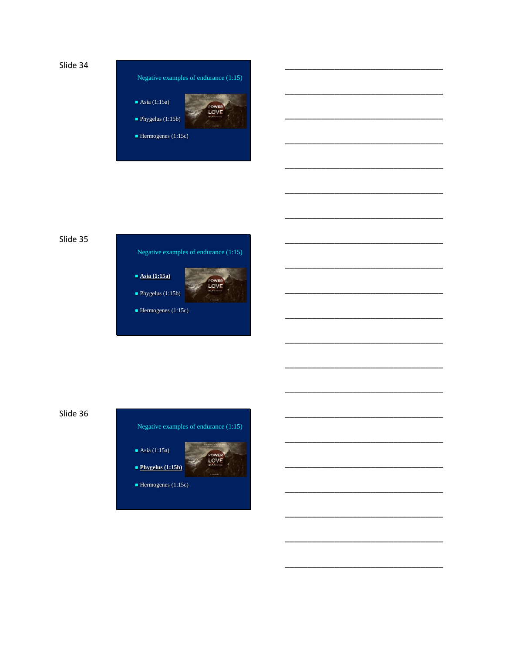





Slide 36





 $\blacksquare$  Hermogenes (1:15c)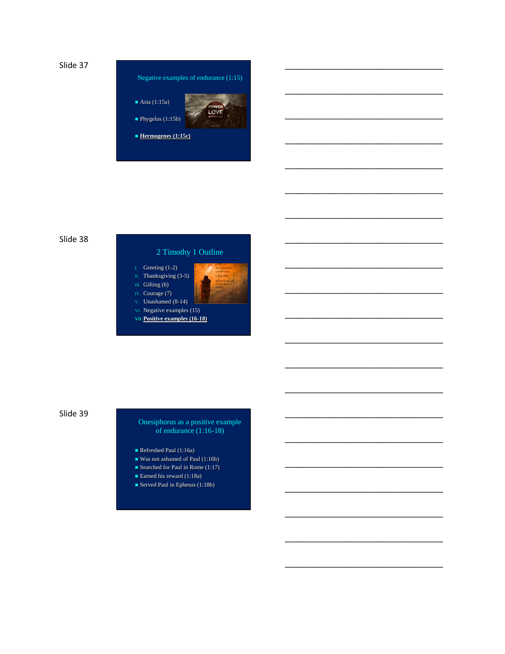



\_\_\_\_\_\_\_\_\_\_\_\_\_\_\_\_\_\_\_\_\_\_\_\_\_\_\_\_\_\_\_\_\_\_\_

\_\_\_\_\_\_\_\_\_\_\_\_\_\_\_\_\_\_\_\_\_\_\_\_\_\_\_\_\_\_\_\_\_\_\_

\_\_\_\_\_\_\_\_\_\_\_\_\_\_\_\_\_\_\_\_\_\_\_\_\_\_\_\_\_\_\_\_\_\_\_

\_\_\_\_\_\_\_\_\_\_\_\_\_\_\_\_\_\_\_\_\_\_\_\_\_\_\_\_\_\_\_\_\_\_\_

\_\_\_\_\_\_\_\_\_\_\_\_\_\_\_\_\_\_\_\_\_\_\_\_\_\_\_\_\_\_\_\_\_\_\_

\_\_\_\_\_\_\_\_\_\_\_\_\_\_\_\_\_\_\_\_\_\_\_\_\_\_\_\_\_\_\_\_\_\_\_

\_\_\_\_\_\_\_\_\_\_\_\_\_\_\_\_\_\_\_\_\_\_\_\_\_\_\_\_\_\_\_\_\_\_\_

\_\_\_\_\_\_\_\_\_\_\_\_\_\_\_\_\_\_\_\_\_\_\_\_\_\_\_\_\_\_\_\_\_\_\_

\_\_\_\_\_\_\_\_\_\_\_\_\_\_\_\_\_\_\_\_\_\_\_\_\_\_\_\_\_\_\_\_\_\_\_

\_\_\_\_\_\_\_\_\_\_\_\_\_\_\_\_\_\_\_\_\_\_\_\_\_\_\_\_\_\_\_\_\_\_\_

\_\_\_\_\_\_\_\_\_\_\_\_\_\_\_\_\_\_\_\_\_\_\_\_\_\_\_\_\_\_\_\_\_\_\_

\_\_\_\_\_\_\_\_\_\_\_\_\_\_\_\_\_\_\_\_\_\_\_\_\_\_\_\_\_\_\_\_\_\_\_

\_\_\_\_\_\_\_\_\_\_\_\_\_\_\_\_\_\_\_\_\_\_\_\_\_\_\_\_\_\_\_\_\_\_\_

\_\_\_\_\_\_\_\_\_\_\_\_\_\_\_\_\_\_\_\_\_\_\_\_\_\_\_\_\_\_\_\_\_\_\_

\_\_\_\_\_\_\_\_\_\_\_\_\_\_\_\_\_\_\_\_\_\_\_\_\_\_\_\_\_\_\_\_\_\_\_

\_\_\_\_\_\_\_\_\_\_\_\_\_\_\_\_\_\_\_\_\_\_\_\_\_\_\_\_\_\_\_\_\_\_\_

\_\_\_\_\_\_\_\_\_\_\_\_\_\_\_\_\_\_\_\_\_\_\_\_\_\_\_\_\_\_\_\_\_\_\_

\_\_\_\_\_\_\_\_\_\_\_\_\_\_\_\_\_\_\_\_\_\_\_\_\_\_\_\_\_\_\_\_\_\_\_

\_\_\_\_\_\_\_\_\_\_\_\_\_\_\_\_\_\_\_\_\_\_\_\_\_\_\_\_\_\_\_\_\_\_\_

\_\_\_\_\_\_\_\_\_\_\_\_\_\_\_\_\_\_\_\_\_\_\_\_\_\_\_\_\_\_\_\_\_\_\_

\_\_\_\_\_\_\_\_\_\_\_\_\_\_\_\_\_\_\_\_\_\_\_\_\_\_\_\_\_\_\_\_\_\_\_

#### Slide 38



Slide 39

Onesiphorus as a positive example of endurance (1:16-18)

- Refreshed Paul (1:16a)
- Was not ashamed of Paul (1:16b)
- Searched for Paul in Rome (1:17)
- Earned his reward (1:18a)
- Served Paul in Ephesus (1:18b)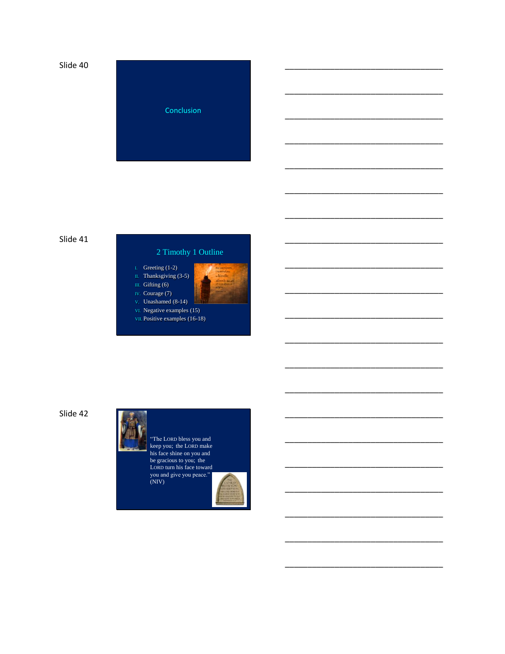

#### Slide 41



Slide 42

"The LORD bless you and<br>keep you; the LORD make<br>his face shine on you and be gracious to you; the<br>LORD turn his face toward you and give you peace."<br>(NIV)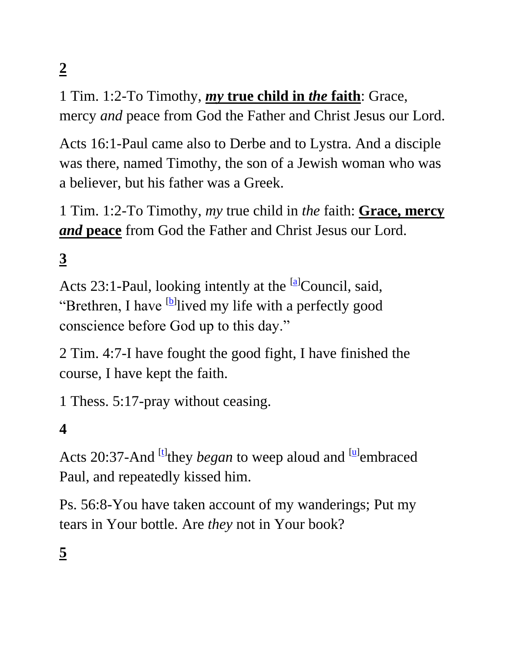**2**

1 Tim. 1:2-To Timothy, *my* **true child in** *the* **faith**: Grace, mercy *and* peace from God the Father and Christ Jesus our Lord.

Acts 16:1-Paul came also to Derbe and to Lystra. And a disciple was there, named Timothy, the son of a Jewish woman who was a believer, but his father was a Greek.

1 Tim. 1:2-To Timothy, *my* true child in *the* faith: **Grace, mercy**  *and* **peace** from God the Father and Christ Jesus our Lord.

**3**

Acts 23:1-Paul, looking intently at the <sup>[\[a\]](https://www.biblegateway.com/passage/?search=Acts+23%3A1&version=NASB#fen-NASB-27736a)</sup>Council, said, "Brethren, I have <sup>[\[b\]](https://www.biblegateway.com/passage/?search=Acts+23%3A1&version=NASB#fen-NASB-27736b)</sup>lived my life with a perfectly good conscience before God up to this day."

2 Tim. 4:7-I have fought the good fight, I have finished the course, I have kept the faith.

1 Thess. 5:17-pray without ceasing.

# **4**

Acts 20:37-And <sup>[\[t\]](https://www.biblegateway.com/passage/?search=Acts+20%3B37&version=NASB#fen-NASB-27664t)</sup>they *began* to weep aloud and <sup>[\[u\]](https://www.biblegateway.com/passage/?search=Acts+20%3B37&version=NASB#fen-NASB-27664u)</sup>embraced Paul, and repeatedly kissed him.

Ps. 56:8-You have taken account of my wanderings; Put my tears in Your bottle. Are *they* not in Your book?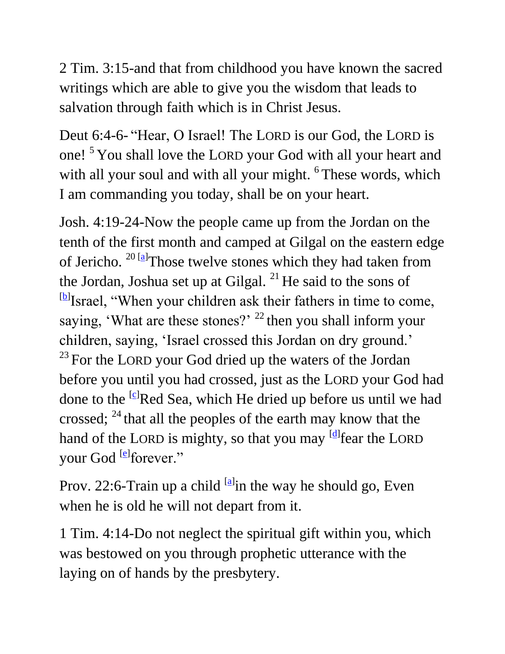2 Tim. 3:15-and that from childhood you have known the sacred writings which are able to give you the wisdom that leads to salvation through faith which is in Christ Jesus.

Deut 6:4-6- "Hear, O Israel! The LORD is our God, the LORD is one!<sup>5</sup> You shall love the LORD your God with all your heart and with all your soul and with all your might. <sup>6</sup> These words, which I am commanding you today, shall be on your heart.

Josh. 4:19-24-Now the people came up from the Jordan on the tenth of the first month and camped at Gilgal on the eastern edge of Jericho. <sup>20 [\[a\]](https://www.biblegateway.com/passage/?search=Joshua+4%3A19-24&version=NASB#fen-NASB-5931a)</sup>Those twelve stones which they had taken from the Jordan, Joshua set up at Gilgal.  $^{21}$  He said to the sons of <sup>[\[b\]](https://www.biblegateway.com/passage/?search=Joshua+4%3A19-24&version=NASB#fen-NASB-5932b)</sup>Israel, "When your children ask their fathers in time to come, saying, 'What are these stones?'  $^{22}$  then you shall inform your children, saying, 'Israel crossed this Jordan on dry ground.' <sup>23</sup> For the LORD your God dried up the waters of the Jordan before you until you had crossed, just as the LORD your God had done to the <sup>[\[c\]](https://www.biblegateway.com/passage/?search=Joshua+4%3A19-24&version=NASB#fen-NASB-5934c)</sup>Red Sea, which He dried up before us until we had crossed;  $^{24}$  that all the peoples of the earth may know that the hand of the LORD is mighty, so that you may <sup>[\[d\]](https://www.biblegateway.com/passage/?search=Joshua+4%3A19-24&version=NASB#fen-NASB-5935d)</sup>fear the LORD your God <sup>[\[e\]](https://www.biblegateway.com/passage/?search=Joshua+4%3A19-24&version=NASB#fen-NASB-5935e)</sup>forever."

Prov. 22:6-Train up a child  $[<sup>a</sup>$  in the way he should go, Even when he is old he will not depart from it.

1 Tim. 4:14-Do not neglect the spiritual gift within you, which was bestowed on you through prophetic utterance with the laying on of hands by the presbytery.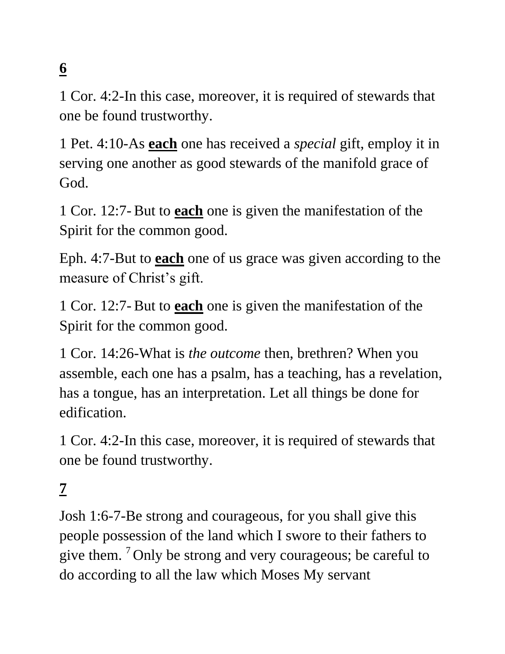# **6**

1 Cor. 4:2-In this case, moreover, it is required of stewards that one be found trustworthy.

1 Pet. 4:10-As **each** one has received a *special* gift, employ it in serving one another as good stewards of the manifold grace of God.

1 Cor. 12:7-But to **each** one is given the manifestation of the Spirit for the common good.

Eph. 4:7-But to **each** one of us grace was given according to the measure of Christ's gift.

1 Cor. 12:7-But to **each** one is given the manifestation of the Spirit for the common good.

1 Cor. 14:26-What is *the outcome* then, brethren? When you assemble, each one has a psalm, has a teaching, has a revelation, has a tongue, has an interpretation. Let all things be done for edification.

1 Cor. 4:2-In this case, moreover, it is required of stewards that one be found trustworthy.

# **7**

Josh 1:6-7-Be strong and courageous, for you shall give this people possession of the land which I swore to their fathers to give them. <sup>7</sup> Only be strong and very courageous; be careful to do according to all the law which Moses My servant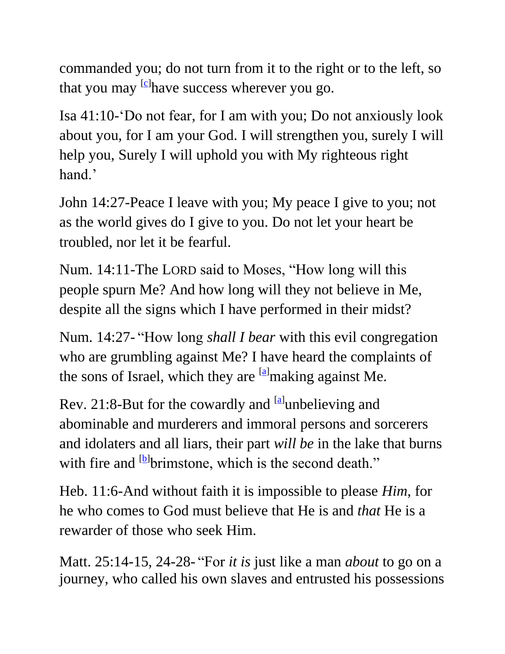commanded you; do not turn from it to the right or to the left, so that you may <sup>[\[c\]](https://www.biblegateway.com/passage/?search=Joshua+1&version=NASB#fen-NASB-5859c)</sup>have success wherever you go.

Isa 41:10-'Do not fear, for I am with you; Do not anxiously look about you, for I am your God. I will strengthen you, surely I will help you, Surely I will uphold you with My righteous right hand.'

John 14:27-Peace I leave with you; My peace I give to you; not as the world gives do I give to you. Do not let your heart be troubled, nor let it be fearful.

Num. 14:11-The LORD said to Moses, "How long will this people spurn Me? And how long will they not believe in Me, despite all the signs which I have performed in their midst?

Num. 14:27- "How long *shall I bear* with this evil congregation who are grumbling against Me? I have heard the complaints of the sons of Israel, which they are  $\left[\frac{a}{n}\right]$  making against Me.

Rev. 21:8-But for the cowardly and  $[<sup>a</sup>]$ unbelieving and abominable and murderers and immoral persons and sorcerers and idolaters and all liars, their part *will be* in the lake that burns with fire and <sup>[\[b\]](https://www.biblegateway.com/passage/?search=Revelation+21%3A8&version=NASB#fen-NASB-31063b)</sup>brimstone, which is the second death."

Heb. 11:6-And without faith it is impossible to please *Him*, for he who comes to God must believe that He is and *that* He is a rewarder of those who seek Him.

Matt. 25:14-15, 24-28- "For *it is* just like a man *about* to go on a journey, who called his own slaves and entrusted his possessions